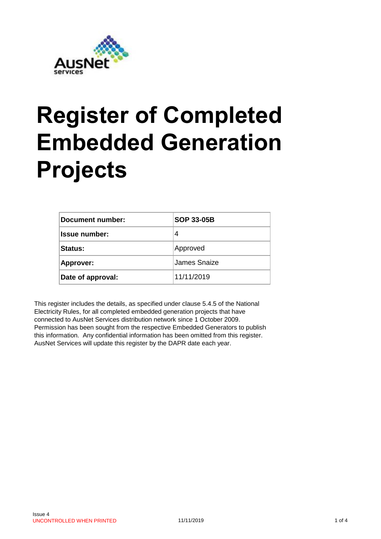

## **Register of Completed Embedded Generation Projects**

| Document number:     | <b>SOP 33-05B</b> |  |  |
|----------------------|-------------------|--|--|
| <b>Issue number:</b> | 4                 |  |  |
| Status:              | Approved          |  |  |
| Approver:            | James Snaize      |  |  |
| Date of approval:    | 11/11/2019        |  |  |

This register includes the details, as specified under clause 5.4.5 of the National Electricity Rules, for all completed embedded generation projects that have connected to AusNet Services distribution network since 1 October 2009. Permission has been sought from the respective Embedded Generators to publish this information. Any confidential information has been omitted from this register. AusNet Services will update this register by the DAPR date each year.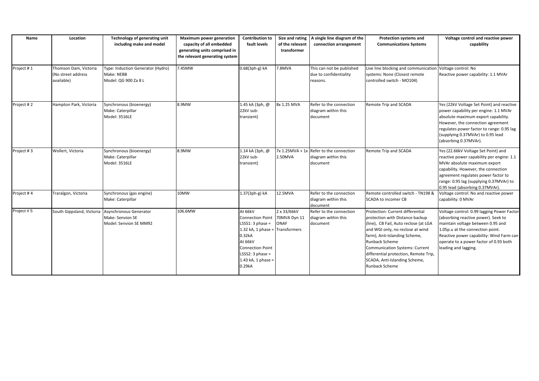| Name       | Location                                                  | Technology of generating unit                                           | <b>Maximum power generation</b>                                                             | <b>Contribution to</b>                                                                                                                                                                                             |                                     | Size and rating $ A \text{ single line diagram of the}$                      | Protection systems and                                                                                                                                                                                                                                                                                                                          | Voltage control and reactive power                                                                                                                                                                                                                                           |
|------------|-----------------------------------------------------------|-------------------------------------------------------------------------|---------------------------------------------------------------------------------------------|--------------------------------------------------------------------------------------------------------------------------------------------------------------------------------------------------------------------|-------------------------------------|------------------------------------------------------------------------------|-------------------------------------------------------------------------------------------------------------------------------------------------------------------------------------------------------------------------------------------------------------------------------------------------------------------------------------------------|------------------------------------------------------------------------------------------------------------------------------------------------------------------------------------------------------------------------------------------------------------------------------|
|            |                                                           | including make and model                                                | capacity of all embedded<br>generating units comprised in<br>the relevant generating system | fault levels                                                                                                                                                                                                       | of the relevant<br>transformer      | connection arrangement                                                       | <b>Communications Systems</b>                                                                                                                                                                                                                                                                                                                   | capability                                                                                                                                                                                                                                                                   |
| Project #1 | Thomson Dam, Victoria<br>(No street address<br>available) | Type: Induction Generator (Hydro)<br>Make: NEBB<br>Model: QG 900 Za 8 L | 7.45MW                                                                                      | 0.68(3ph-g) kA                                                                                                                                                                                                     | 7.8MVA                              | This can not be published<br>due to confidentiality<br>reasons.              | Live line blocking and communication Voltage control: No<br>systems: None (Closest remote<br>controlled switch - MO104)                                                                                                                                                                                                                         | Reactive power capability: 1.1 MVAr                                                                                                                                                                                                                                          |
| Project #2 | Hampton Park, Victoria                                    | Synchronous (bioenergy)<br>Make: Caterpillar<br>Model: 3516LE           | 8.9MW                                                                                       | 1.45 kA (3ph, @<br>22kV sub-<br>transient)                                                                                                                                                                         | 8x 1.25 MVA                         | Refer to the connection<br>diagram within this<br>document                   | Remote Trip and SCADA                                                                                                                                                                                                                                                                                                                           | Yes (22kV Voltage Set Point) and reactive<br>power capability per engine: 1.1 MVAr<br>absolute maximum export capability.<br>However, the connection agreement<br>regulates power factor to range: 0.95 lag<br>(supplying 0.37MVAr) to 0.95 lead<br>(absorbing 0.37MVAr).    |
| Project #3 | Wollert, Victoria                                         | Synchronous (bioenergy)<br>Make: Caterpillar<br>Model: 3516LE           | 8.9MW                                                                                       | 1.14 kA (3ph, @<br>22kV sub-<br>transient)                                                                                                                                                                         | 2.50MVA                             | $7x$ 1.25MVA + 1x Refer to the connection<br>diagram within this<br>document | Remote Trip and SCADA                                                                                                                                                                                                                                                                                                                           | Yes (22.66kV Voltage Set Point) and<br>reactive power capability per engine: 1.1<br>MVAr absolute maximum export<br>capability. However, the connection<br>agreement regulates power factor to<br>range: 0.95 lag (supplying 0.37MVAr) to<br>0.95 lead (absorbing 0.37MVAr). |
| Project #4 | Traralgon, Victoria                                       | Synchronous (gas engine)<br>Make: Caterpillar                           | 10MW                                                                                        | 1.37(3ph-g) kA                                                                                                                                                                                                     | 12.5MVA                             | Refer to the connection<br>diagram within this<br>document                   | Remote controlled switch - TN198 &<br><b>SCADA to incomer CB</b>                                                                                                                                                                                                                                                                                | Voltage control: No and reactive power<br>capability: 0 MVAr                                                                                                                                                                                                                 |
| Project #5 | South Gippsland, Victoria                                 | Asynchronous Generator<br>Make: Senvion SE<br>Model: Senvion SE MM92    | 106.6MW                                                                                     | At 66kV<br><b>Connection Point</b><br>LSSS1: $3$ phase =<br>1.32 kA, 1 phase = $\boxed{\text{Transformers}}$<br>0.32kA<br>At 66kV<br><b>Connection Point</b><br>LSSS2: $3$ phase =<br>1.43 kA, 1 phase =<br>0.29kA | 2 x 33/66kV<br>70MVA Dyn 11<br>ONAF | Refer to the connection<br>diagram within this<br>document                   | Protection: Current differential<br>protection with Distance backup<br>(line), CB Fail, Auto reclose (at LGA<br>and WGI only, no reclose at wind<br>farm), Anti-Islanding Scheme,<br><b>Runback Scheme</b><br>Communication Systems: Current<br>differential protection, Remote Trip,<br>SCADA, Anti-Islanding Scheme,<br><b>Runback Scheme</b> | Voltage control: 0.99 lagging Power Factor<br>(absorbing reactive power). Seek to<br>maintain voltage between 0.95 and<br>1.05p.u at the connection point.<br>Reactive power capability: Wind Farm can<br>operate to a power factor of 0.93 both<br>leading and lagging.     |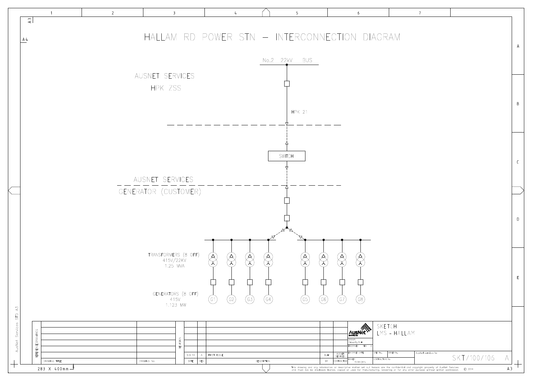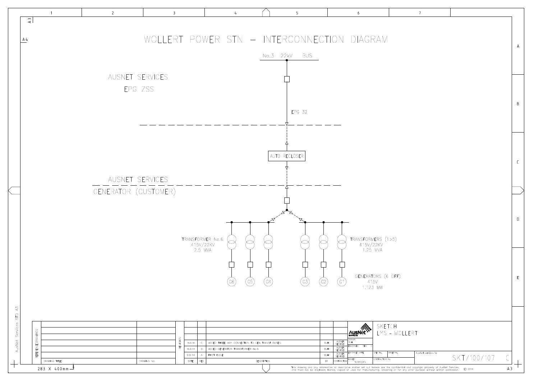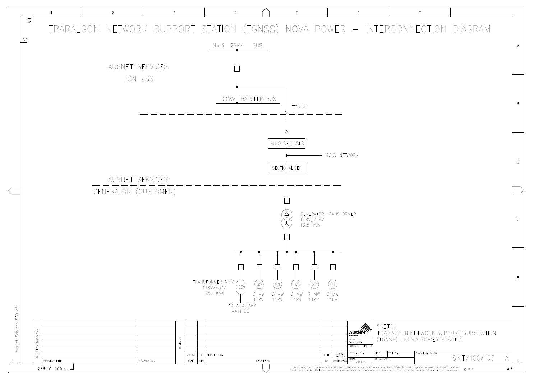